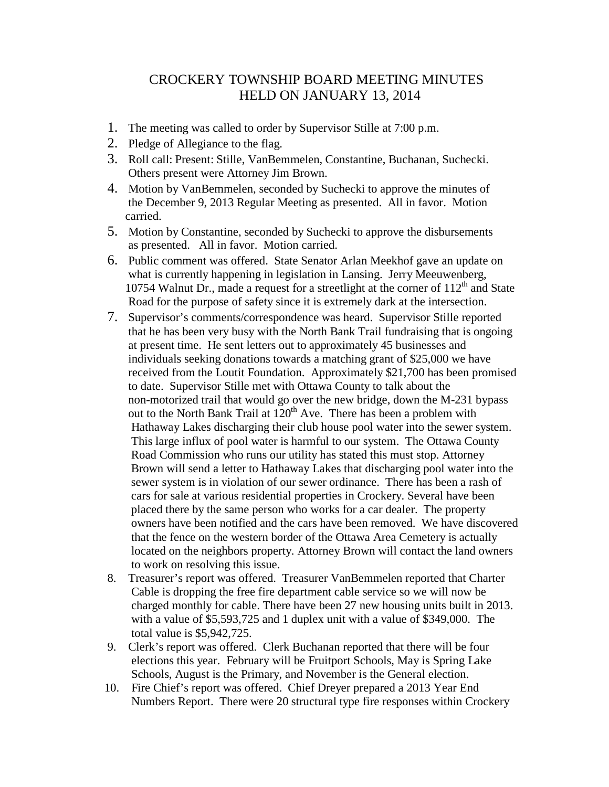## CROCKERY TOWNSHIP BOARD MEETING MINUTES HELD ON JANUARY 13, 2014

- 1. The meeting was called to order by Supervisor Stille at 7:00 p.m.
- 2. Pledge of Allegiance to the flag.
- 3. Roll call: Present: Stille, VanBemmelen, Constantine, Buchanan, Suchecki. Others present were Attorney Jim Brown.
- 4. Motion by VanBemmelen, seconded by Suchecki to approve the minutes of the December 9, 2013 Regular Meeting as presented. All in favor. Motion carried.
- 5. Motion by Constantine, seconded by Suchecki to approve the disbursements as presented. All in favor. Motion carried.
- 6. Public comment was offered. State Senator Arlan Meekhof gave an update on what is currently happening in legislation in Lansing. Jerry Meeuwenberg, 10754 Walnut Dr., made a request for a streetlight at the corner of  $112<sup>th</sup>$  and State Road for the purpose of safety since it is extremely dark at the intersection.
- 7. Supervisor's comments/correspondence was heard. Supervisor Stille reported that he has been very busy with the North Bank Trail fundraising that is ongoing at present time. He sent letters out to approximately 45 businesses and individuals seeking donations towards a matching grant of \$25,000 we have received from the Loutit Foundation. Approximately \$21,700 has been promised to date. Supervisor Stille met with Ottawa County to talk about the non-motorized trail that would go over the new bridge, down the M-231 bypass out to the North Bank Trail at  $120<sup>th</sup>$  Ave. There has been a problem with Hathaway Lakes discharging their club house pool water into the sewer system. This large influx of pool water is harmful to our system. The Ottawa County Road Commission who runs our utility has stated this must stop. Attorney Brown will send a letter to Hathaway Lakes that discharging pool water into the sewer system is in violation of our sewer ordinance. There has been a rash of cars for sale at various residential properties in Crockery. Several have been placed there by the same person who works for a car dealer. The property owners have been notified and the cars have been removed. We have discovered that the fence on the western border of the Ottawa Area Cemetery is actually located on the neighbors property. Attorney Brown will contact the land owners to work on resolving this issue.
- 8. Treasurer's report was offered. Treasurer VanBemmelen reported that Charter Cable is dropping the free fire department cable service so we will now be charged monthly for cable. There have been 27 new housing units built in 2013. with a value of \$5,593,725 and 1 duplex unit with a value of \$349,000. The total value is \$5,942,725.
- 9. Clerk's report was offered. Clerk Buchanan reported that there will be four elections this year. February will be Fruitport Schools, May is Spring Lake Schools, August is the Primary, and November is the General election.
- 10. Fire Chief's report was offered. Chief Dreyer prepared a 2013 Year End Numbers Report. There were 20 structural type fire responses within Crockery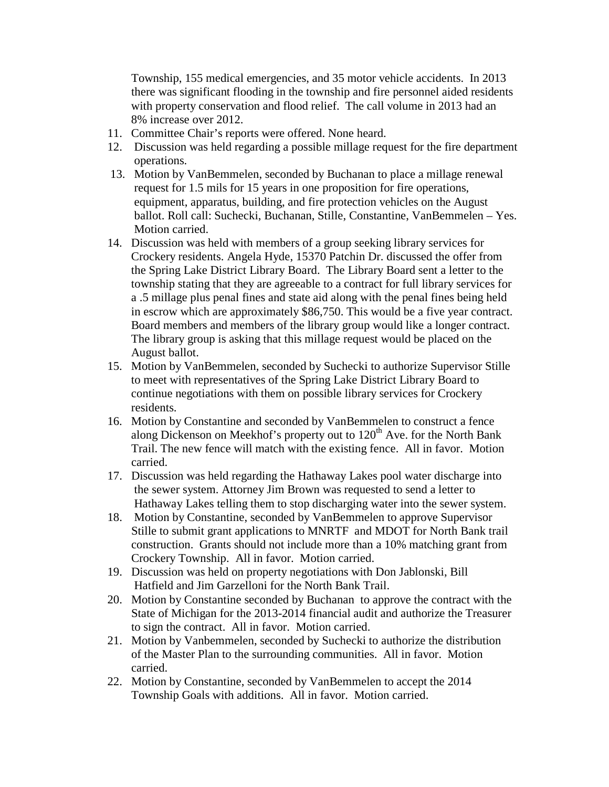Township, 155 medical emergencies, and 35 motor vehicle accidents. In 2013 there was significant flooding in the township and fire personnel aided residents with property conservation and flood relief. The call volume in 2013 had an 8% increase over 2012.

- 11. Committee Chair's reports were offered. None heard.
- 12. Discussion was held regarding a possible millage request for the fire department operations.
- 13. Motion by VanBemmelen, seconded by Buchanan to place a millage renewal request for 1.5 mils for 15 years in one proposition for fire operations, equipment, apparatus, building, and fire protection vehicles on the August ballot. Roll call: Suchecki, Buchanan, Stille, Constantine, VanBemmelen – Yes. Motion carried.
- 14. Discussion was held with members of a group seeking library services for Crockery residents. Angela Hyde, 15370 Patchin Dr. discussed the offer from the Spring Lake District Library Board. The Library Board sent a letter to the township stating that they are agreeable to a contract for full library services for a .5 millage plus penal fines and state aid along with the penal fines being held in escrow which are approximately \$86,750. This would be a five year contract. Board members and members of the library group would like a longer contract. The library group is asking that this millage request would be placed on the August ballot.
- 15. Motion by VanBemmelen, seconded by Suchecki to authorize Supervisor Stille to meet with representatives of the Spring Lake District Library Board to continue negotiations with them on possible library services for Crockery residents.
- 16. Motion by Constantine and seconded by VanBemmelen to construct a fence along Dickenson on Meekhof's property out to  $120<sup>th</sup>$  Ave. for the North Bank Trail. The new fence will match with the existing fence. All in favor. Motion carried.
- 17. Discussion was held regarding the Hathaway Lakes pool water discharge into the sewer system. Attorney Jim Brown was requested to send a letter to Hathaway Lakes telling them to stop discharging water into the sewer system.
- 18. Motion by Constantine, seconded by VanBemmelen to approve Supervisor Stille to submit grant applications to MNRTF and MDOT for North Bank trail construction. Grants should not include more than a 10% matching grant from Crockery Township. All in favor. Motion carried.
- 19. Discussion was held on property negotiations with Don Jablonski, Bill Hatfield and Jim Garzelloni for the North Bank Trail.
- 20. Motion by Constantine seconded by Buchanan to approve the contract with the State of Michigan for the 2013-2014 financial audit and authorize the Treasurer to sign the contract. All in favor. Motion carried.
- 21. Motion by Vanbemmelen, seconded by Suchecki to authorize the distribution of the Master Plan to the surrounding communities. All in favor. Motion carried.
- 22. Motion by Constantine, seconded by VanBemmelen to accept the 2014 Township Goals with additions. All in favor. Motion carried.